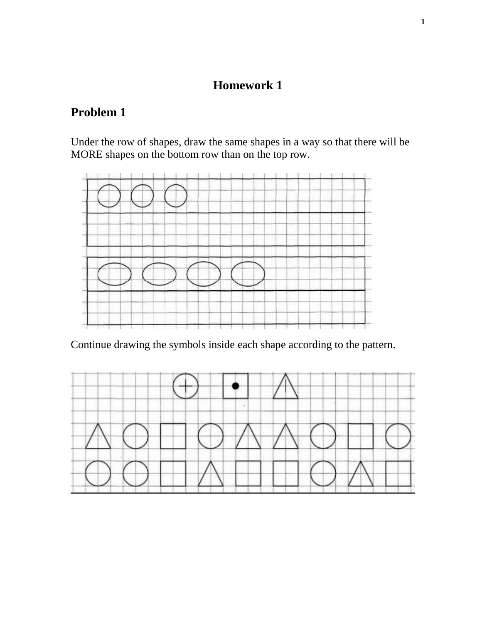## **Homework 1**

## **Problem 1**

Under the row of shapes, draw the same shapes in a way so that there will be MORE shapes on the bottom row than on the top row.



Continue drawing the symbols inside each shape according to the pattern.

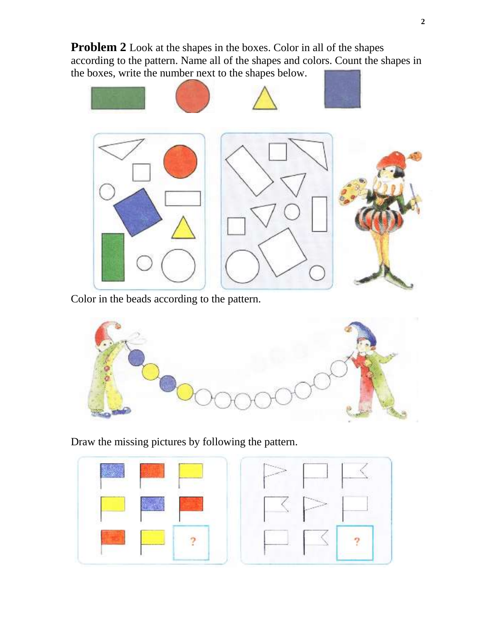**Problem 2** Look at the shapes in the boxes. Color in all of the shapes according to the pattern. Name all of the shapes and colors. Count the shapes in the boxes, write the number next to the shapes below.



Color in the beads according to the pattern.



Draw the missing pictures by following the pattern.

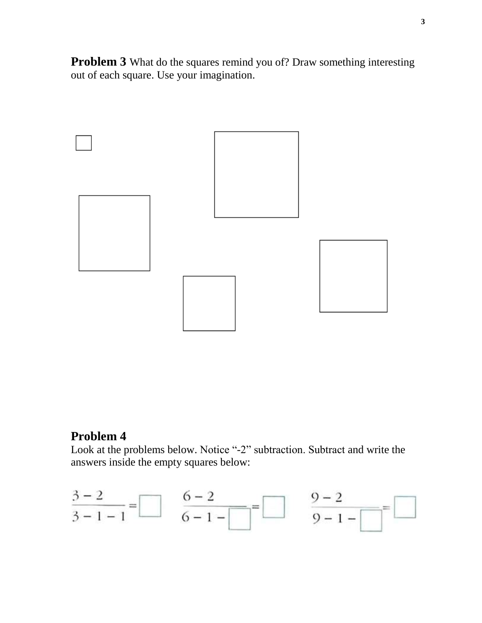**Problem 3** What do the squares remind you of? Draw something interesting out of each square. Use your imagination.



## **Problem 4**

Look at the problems below. Notice "-2" subtraction. Subtract and write the answers inside the empty squares below:

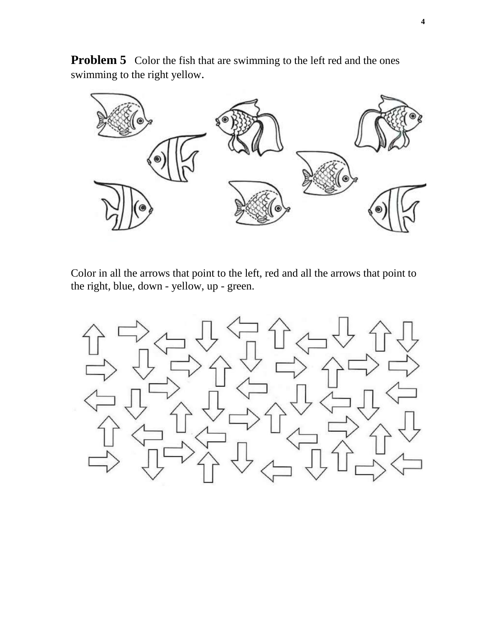**Problem 5** Color the fish that are swimming to the left red and the ones swimming to the right yellow.



Color in all the arrows that point to the left, red and all the arrows that point to the right, blue, down - yellow, up - green.

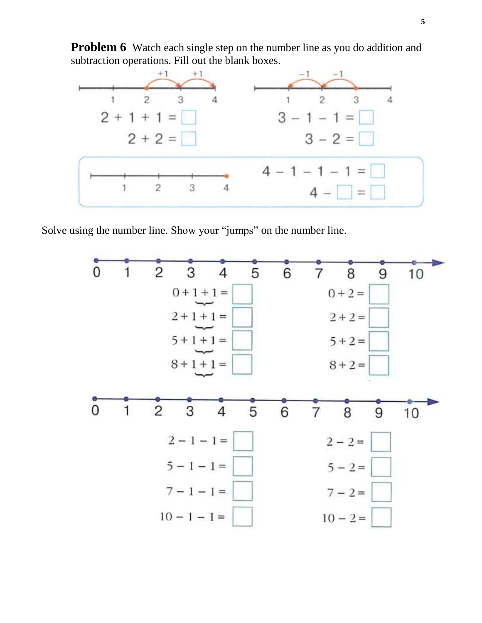**Problem 6** Watch each single step on the number line as you do addition and subtraction operations. Fill out the blank boxes.



Solve using the number line. Show your "jumps" on the number line.